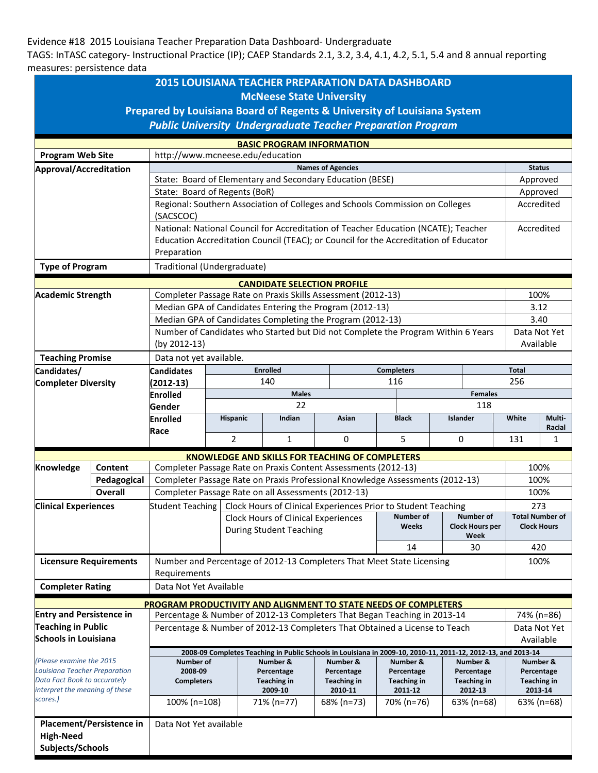## Evidence #18 2015 Louisiana Teacher Preparation Data Dashboard- Undergraduate

TAGS: InTASC category- Instructional Practice (IP); CAEP Standards 2.1, 3.2, 3.4, 4.1, 4.2, 5.1, 5.4 and 8 annual reporting measures: persistence data

|                                                                                                                                         |                          |                                                                                                                                                        |                                                          |                                                           | <b>2015 LOUISIANA TEACHER PREPARATION DATA DASHBOARD</b>     |         |                           |                           |       |                                |                                  |               |                                              |  |
|-----------------------------------------------------------------------------------------------------------------------------------------|--------------------------|--------------------------------------------------------------------------------------------------------------------------------------------------------|----------------------------------------------------------|-----------------------------------------------------------|--------------------------------------------------------------|---------|---------------------------|---------------------------|-------|--------------------------------|----------------------------------|---------------|----------------------------------------------|--|
|                                                                                                                                         |                          |                                                                                                                                                        |                                                          |                                                           | <b>McNeese State University</b>                              |         |                           |                           |       |                                |                                  |               |                                              |  |
| Prepared by Louisiana Board of Regents & University of Louisiana System                                                                 |                          |                                                                                                                                                        |                                                          |                                                           |                                                              |         |                           |                           |       |                                |                                  |               |                                              |  |
|                                                                                                                                         |                          | <b>Public University Undergraduate Teacher Preparation Program</b>                                                                                     |                                                          |                                                           |                                                              |         |                           |                           |       |                                |                                  |               |                                              |  |
|                                                                                                                                         |                          |                                                                                                                                                        |                                                          |                                                           | <b>BASIC PROGRAM INFORMATION</b>                             |         |                           |                           |       |                                |                                  |               |                                              |  |
| <b>Program Web Site</b>                                                                                                                 |                          | http://www.mcneese.edu/education                                                                                                                       |                                                          |                                                           |                                                              |         |                           |                           |       |                                |                                  |               |                                              |  |
| Approval/Accreditation                                                                                                                  |                          |                                                                                                                                                        | <b>Names of Agencies</b>                                 |                                                           |                                                              |         |                           |                           |       |                                |                                  | <b>Status</b> |                                              |  |
|                                                                                                                                         |                          | State: Board of Elementary and Secondary Education (BESE)                                                                                              |                                                          |                                                           |                                                              |         |                           |                           |       |                                | Approved                         |               |                                              |  |
|                                                                                                                                         |                          | State: Board of Regents (BoR)                                                                                                                          |                                                          |                                                           |                                                              |         |                           |                           |       |                                | Approved                         |               |                                              |  |
|                                                                                                                                         |                          | Regional: Southern Association of Colleges and Schools Commission on Colleges<br>(SACSCOC)                                                             |                                                          |                                                           |                                                              |         |                           |                           |       |                                | Accredited                       |               |                                              |  |
|                                                                                                                                         |                          | National: National Council for Accreditation of Teacher Education (NCATE); Teacher                                                                     |                                                          |                                                           |                                                              |         |                           |                           |       |                                | Accredited                       |               |                                              |  |
|                                                                                                                                         |                          | Education Accreditation Council (TEAC); or Council for the Accreditation of Educator                                                                   |                                                          |                                                           |                                                              |         |                           |                           |       |                                |                                  |               |                                              |  |
|                                                                                                                                         |                          | Preparation                                                                                                                                            |                                                          |                                                           |                                                              |         |                           |                           |       |                                |                                  |               |                                              |  |
| <b>Type of Program</b>                                                                                                                  |                          |                                                                                                                                                        | Traditional (Undergraduate)                              |                                                           |                                                              |         |                           |                           |       |                                |                                  |               |                                              |  |
|                                                                                                                                         |                          |                                                                                                                                                        |                                                          |                                                           | <b>CANDIDATE SELECTION PROFILE</b>                           |         |                           |                           |       |                                |                                  |               |                                              |  |
| <b>Academic Strength</b>                                                                                                                |                          |                                                                                                                                                        |                                                          |                                                           | Completer Passage Rate on Praxis Skills Assessment (2012-13) |         |                           |                           |       |                                |                                  |               | 100%                                         |  |
|                                                                                                                                         |                          | Median GPA of Candidates Entering the Program (2012-13)                                                                                                |                                                          |                                                           |                                                              |         |                           |                           |       |                                | 3.12                             |               |                                              |  |
|                                                                                                                                         |                          | Median GPA of Candidates Completing the Program (2012-13)                                                                                              |                                                          |                                                           |                                                              |         |                           |                           |       |                                | 3.40                             |               |                                              |  |
|                                                                                                                                         |                          | Number of Candidates who Started but Did not Complete the Program Within 6 Years<br>(by 2012-13)                                                       |                                                          |                                                           |                                                              |         |                           |                           |       |                                | Data Not Yet<br>Available        |               |                                              |  |
| <b>Teaching Promise</b>                                                                                                                 |                          | Data not yet available.                                                                                                                                |                                                          |                                                           |                                                              |         |                           |                           |       |                                |                                  |               |                                              |  |
| Candidates/                                                                                                                             |                          | <b>Candidates</b>                                                                                                                                      |                                                          |                                                           | <b>Enrolled</b>                                              |         | <b>Completers</b>         |                           |       |                                |                                  | Total         |                                              |  |
| <b>Completer Diversity</b>                                                                                                              |                          | $(2012-13)$<br><b>Enrolled</b>                                                                                                                         | 140                                                      |                                                           |                                                              |         | 116                       |                           |       |                                | 256                              |               |                                              |  |
|                                                                                                                                         |                          |                                                                                                                                                        | <b>Males</b><br><b>Females</b>                           |                                                           |                                                              |         |                           |                           |       |                                |                                  |               |                                              |  |
|                                                                                                                                         |                          | Gender                                                                                                                                                 | 22<br>118<br><b>Black</b><br>Islander<br><b>Hispanic</b> |                                                           |                                                              |         |                           |                           | White | <b>Multi-</b>                  |                                  |               |                                              |  |
|                                                                                                                                         |                          | <b>Enrolled</b><br>Race                                                                                                                                |                                                          |                                                           | Indian                                                       |         | <b>Asian</b>              |                           |       |                                |                                  |               | Racial                                       |  |
|                                                                                                                                         |                          |                                                                                                                                                        | $\overline{2}$                                           |                                                           | $\mathbf{1}$                                                 |         | 0                         |                           | 5     |                                | 0                                | 131           | 1                                            |  |
|                                                                                                                                         |                          |                                                                                                                                                        |                                                          |                                                           |                                                              |         |                           |                           |       |                                |                                  |               |                                              |  |
| Knowledge                                                                                                                               | Content                  | <b>KNOWLEDGE AND SKILLS FOR TEACHING OF COMPLETERS</b><br>Completer Passage Rate on Praxis Content Assessments (2012-13)<br>100%                       |                                                          |                                                           |                                                              |         |                           |                           |       |                                |                                  |               |                                              |  |
|                                                                                                                                         | Pedagogical              | Completer Passage Rate on Praxis Professional Knowledge Assessments (2012-13)                                                                          |                                                          |                                                           |                                                              |         |                           |                           |       |                                | 100%                             |               |                                              |  |
|                                                                                                                                         | Overall                  | Completer Passage Rate on all Assessments (2012-13)                                                                                                    |                                                          |                                                           |                                                              |         |                           |                           |       |                                | 100%                             |               |                                              |  |
| <b>Clinical Experiences</b>                                                                                                             |                          | Student Teaching   Clock Hours of Clinical Experiences Prior to Student Teaching                                                                       |                                                          |                                                           |                                                              |         |                           |                           | 273   |                                |                                  |               |                                              |  |
|                                                                                                                                         |                          |                                                                                                                                                        |                                                          | <b>Clock Hours of Clinical Experiences</b>                |                                                              |         |                           | <b>Number of</b><br>Weeks |       |                                | <b>Number of</b>                 |               | <b>Total Number of</b><br><b>Clock Hours</b> |  |
|                                                                                                                                         |                          |                                                                                                                                                        |                                                          | <b>During Student Teaching</b>                            |                                                              |         |                           |                           |       | <b>Clock Hours per</b><br>Week |                                  |               |                                              |  |
|                                                                                                                                         |                          |                                                                                                                                                        |                                                          |                                                           |                                                              |         |                           | 14                        |       | 30                             | 420                              |               |                                              |  |
| <b>Licensure Requirements</b>                                                                                                           |                          | Number and Percentage of 2012-13 Completers That Meet State Licensing<br>100%<br>Requirements                                                          |                                                          |                                                           |                                                              |         |                           |                           |       |                                |                                  |               |                                              |  |
| <b>Completer Rating</b>                                                                                                                 |                          | Data Not Yet Available                                                                                                                                 |                                                          |                                                           |                                                              |         |                           |                           |       |                                |                                  |               |                                              |  |
|                                                                                                                                         |                          | <b>PROGRAM PRODUCTIVITY AND ALIGNMENT TO STATE NEEDS OF COMPLETERS</b>                                                                                 |                                                          |                                                           |                                                              |         |                           |                           |       |                                |                                  |               |                                              |  |
| <b>Entry and Persistence in</b>                                                                                                         |                          |                                                                                                                                                        |                                                          |                                                           |                                                              |         |                           |                           |       |                                |                                  |               | 74% (n=86)                                   |  |
| <b>Teaching in Public</b>                                                                                                               |                          | Percentage & Number of 2012-13 Completers That Began Teaching in 2013-14<br>Percentage & Number of 2012-13 Completers That Obtained a License to Teach |                                                          |                                                           |                                                              |         |                           |                           |       |                                | Data Not Yet                     |               |                                              |  |
| Schools in Louisiana                                                                                                                    |                          |                                                                                                                                                        |                                                          |                                                           |                                                              |         |                           |                           |       | Available                      |                                  |               |                                              |  |
|                                                                                                                                         |                          | 2008-09 Completes Teaching in Public Schools in Louisiana in 2009-10, 2010-11, 2011-12, 2012-13, and 2013-14                                           |                                                          |                                                           |                                                              |         |                           |                           |       |                                |                                  |               |                                              |  |
| (Please examine the 2015<br>Louisiana Teacher Preparation<br>Data Fact Book to accurately<br>interpret the meaning of these<br>scores.) |                          | Number of<br>2008-09                                                                                                                                   |                                                          | Number &                                                  |                                                              |         | Number &                  | Number &<br>Percentage    |       |                                | Number &                         |               | Number &                                     |  |
|                                                                                                                                         |                          | <b>Completers</b><br>100% (n=108)                                                                                                                      |                                                          | Percentage<br><b>Teaching in</b><br>2009-10<br>71% (n=77) |                                                              |         | Percentage<br>Teaching in | <b>Teaching in</b>        |       |                                | Percentage<br><b>Teaching in</b> |               | Percentage<br><b>Teaching in</b>             |  |
|                                                                                                                                         |                          |                                                                                                                                                        |                                                          |                                                           |                                                              | 2010-11 |                           | 2011-12                   |       | 2012-13                        |                                  | 2013-14       |                                              |  |
|                                                                                                                                         |                          |                                                                                                                                                        |                                                          |                                                           |                                                              |         | 68% (n=73)                | 70% (n=76)                |       |                                | 63% (n=68)                       |               | 63% (n=68)                                   |  |
|                                                                                                                                         | Placement/Persistence in | Data Not Yet available                                                                                                                                 |                                                          |                                                           |                                                              |         |                           |                           |       |                                |                                  |               |                                              |  |
| <b>High-Need</b>                                                                                                                        |                          |                                                                                                                                                        |                                                          |                                                           |                                                              |         |                           |                           |       |                                |                                  |               |                                              |  |
| Subjects/Schools                                                                                                                        |                          |                                                                                                                                                        |                                                          |                                                           |                                                              |         |                           |                           |       |                                |                                  |               |                                              |  |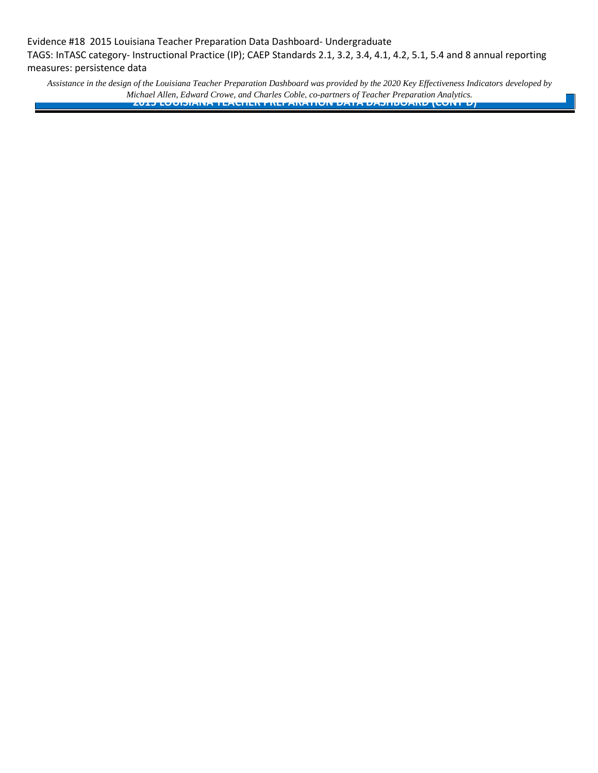Evidence #18 2015 Louisiana Teacher Preparation Data Dashboard- Undergraduate TAGS: InTASC category- Instructional Practice (IP); CAEP Standards 2.1, 3.2, 3.4, 4.1, 4.2, 5.1, 5.4 and 8 annual reporting measures: persistence data

*Assistance in the design of the Louisiana Teacher Preparation Dashboard was provided by the 2020 Key Effectiveness Indicators developed by Michael Allen, Edward Crowe, and Charles Coble, co-partners of Teacher Preparation Analytics.* **2015 LOUISIANA TEACHER PREPARATION DATA DASHBOARD (CONT'D)**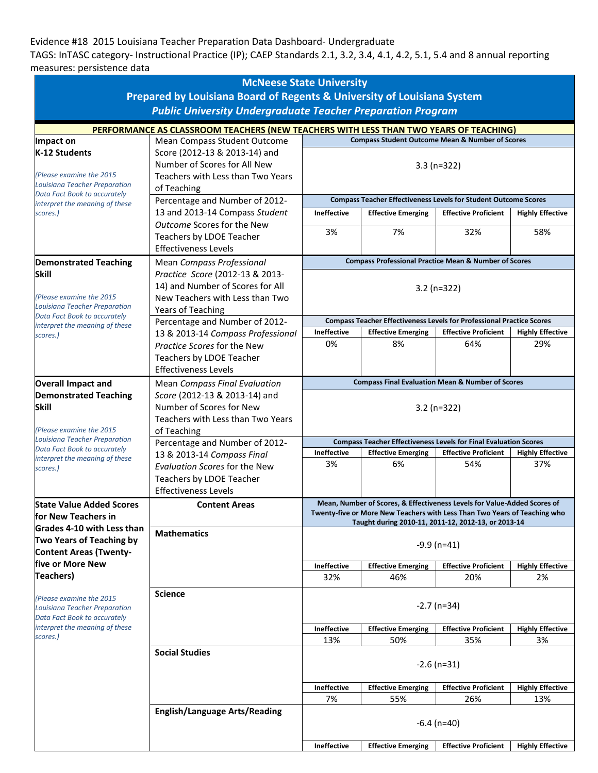## Evidence #18 2015 Louisiana Teacher Preparation Data Dashboard- Undergraduate

TAGS: InTASC category- Instructional Practice (IP); CAEP Standards 2.1, 3.2, 3.4, 4.1, 4.2, 5.1, 5.4 and 8 annual reporting measures: persistence data

|                                                                                                  | <b>McNeese State University</b>                                                                                                               |                                                                              |                                 |                                                                           |                                |  |  |  |
|--------------------------------------------------------------------------------------------------|-----------------------------------------------------------------------------------------------------------------------------------------------|------------------------------------------------------------------------------|---------------------------------|---------------------------------------------------------------------------|--------------------------------|--|--|--|
|                                                                                                  | Prepared by Louisiana Board of Regents & University of Louisiana System<br><b>Public University Undergraduate Teacher Preparation Program</b> |                                                                              |                                 |                                                                           |                                |  |  |  |
|                                                                                                  | PERFORMANCE AS CLASSROOM TEACHERS (NEW TEACHERS WITH LESS THAN TWO YEARS OF TEACHING)                                                         |                                                                              |                                 |                                                                           |                                |  |  |  |
| Impact on                                                                                        | Mean Compass Student Outcome                                                                                                                  |                                                                              |                                 | <b>Compass Student Outcome Mean &amp; Number of Scores</b>                |                                |  |  |  |
| K-12 Students<br>(Please examine the 2015)<br>Louisiana Teacher Preparation                      | Score (2012-13 & 2013-14) and<br>Number of Scores for All New<br>Teachers with Less than Two Years<br>of Teaching                             | $3.3(n=322)$                                                                 |                                 |                                                                           |                                |  |  |  |
| Data Fact Book to accurately<br>interpret the meaning of these                                   | Percentage and Number of 2012-                                                                                                                | <b>Compass Teacher Effectiveness Levels for Student Outcome Scores</b>       |                                 |                                                                           |                                |  |  |  |
| scores.)                                                                                         | 13 and 2013-14 Compass Student                                                                                                                | <b>Ineffective</b>                                                           | <b>Effective Emerging</b>       | <b>Effective Proficient</b>                                               | <b>Highly Effective</b>        |  |  |  |
|                                                                                                  | Outcome Scores for the New<br>Teachers by LDOE Teacher<br><b>Effectiveness Levels</b>                                                         | 3%                                                                           | 7%                              | 32%                                                                       | 58%                            |  |  |  |
| <b>Demonstrated Teaching</b>                                                                     | Mean Compass Professional                                                                                                                     |                                                                              |                                 | <b>Compass Professional Practice Mean &amp; Number of Scores</b>          |                                |  |  |  |
| <b>Skill</b><br>(Please examine the 2015<br><b>Louisiana Teacher Preparation</b>                 | Practice Score (2012-13 & 2013-<br>14) and Number of Scores for All<br>New Teachers with Less than Two<br>Years of Teaching                   | $3.2 (n=322)$                                                                |                                 |                                                                           |                                |  |  |  |
| Data Fact Book to accurately<br>interpret the meaning of these                                   | Percentage and Number of 2012-                                                                                                                | <b>Compass Teacher Effectiveness Levels for Professional Practice Scores</b> |                                 |                                                                           |                                |  |  |  |
| scores.)                                                                                         | 13 & 2013-14 Compass Professional                                                                                                             | Ineffective                                                                  | <b>Effective Emerging</b>       | <b>Effective Proficient</b>                                               | <b>Highly Effective</b>        |  |  |  |
|                                                                                                  | Practice Scores for the New<br>Teachers by LDOE Teacher<br><b>Effectiveness Levels</b>                                                        | 0%                                                                           | 8%                              | 64%                                                                       | 29%                            |  |  |  |
| <b>Overall Impact and</b>                                                                        | <b>Mean Compass Final Evaluation</b>                                                                                                          | <b>Compass Final Evaluation Mean &amp; Number of Scores</b>                  |                                 |                                                                           |                                |  |  |  |
| <b>Demonstrated Teaching</b><br><b>Skill</b><br>(Please examine the 2015)                        | Score (2012-13 & 2013-14) and<br>Number of Scores for New<br>Teachers with Less than Two Years<br>of Teaching                                 | $3.2 (n=322)$                                                                |                                 |                                                                           |                                |  |  |  |
| <b>Louisiana Teacher Preparation</b><br>Data Fact Book to accurately                             | Percentage and Number of 2012-                                                                                                                | <b>Compass Teacher Effectiveness Levels for Final Evaluation Scores</b>      |                                 |                                                                           |                                |  |  |  |
| interpret the meaning of these<br>scores.)                                                       | 13 & 2013-14 Compass Final<br><b>Evaluation Scores for the New</b><br>Teachers by LDOE Teacher<br><b>Effectiveness Levels</b>                 | Ineffective<br>3%                                                            | <b>Effective Emerging</b><br>6% | <b>Effective Proficient</b><br>54%                                        | <b>Highly Effective</b><br>37% |  |  |  |
| <b>State Value Added Scores</b>                                                                  | <b>Content Areas</b>                                                                                                                          |                                                                              |                                 | Mean, Number of Scores, & Effectiveness Levels for Value-Added Scores of  |                                |  |  |  |
| for New Teachers in                                                                              |                                                                                                                                               |                                                                              |                                 | Twenty-five or More New Teachers with Less Than Two Years of Teaching who |                                |  |  |  |
| Grades 4-10 with Less than<br>Two Years of Teaching by<br><b>Content Areas (Twenty-</b>          | <b>Mathematics</b>                                                                                                                            | Taught during 2010-11, 2011-12, 2012-13, or 2013-14<br>$-9.9$ (n=41)         |                                 |                                                                           |                                |  |  |  |
| five or More New                                                                                 |                                                                                                                                               | Ineffective                                                                  | <b>Effective Emerging</b>       | <b>Effective Proficient</b>                                               | <b>Highly Effective</b>        |  |  |  |
| <b>Teachers)</b>                                                                                 |                                                                                                                                               | 32%                                                                          | 46%                             | 20%                                                                       | 2%                             |  |  |  |
| (Please examine the 2015<br><b>Louisiana Teacher Preparation</b><br>Data Fact Book to accurately | <b>Science</b>                                                                                                                                | $-2.7$ (n=34)                                                                |                                 |                                                                           |                                |  |  |  |
| interpret the meaning of these<br>scores.)                                                       |                                                                                                                                               | Ineffective                                                                  | <b>Effective Emerging</b>       | <b>Effective Proficient</b>                                               | <b>Highly Effective</b>        |  |  |  |
|                                                                                                  |                                                                                                                                               | 13%                                                                          | 50%                             | 35%                                                                       | 3%                             |  |  |  |
|                                                                                                  | <b>Social Studies</b>                                                                                                                         | $-2.6$ (n=31)                                                                |                                 |                                                                           |                                |  |  |  |
|                                                                                                  |                                                                                                                                               | Ineffective                                                                  | <b>Effective Emerging</b>       | <b>Effective Proficient</b>                                               | <b>Highly Effective</b>        |  |  |  |
|                                                                                                  |                                                                                                                                               | 7%                                                                           | 55%                             | 26%                                                                       | 13%                            |  |  |  |
|                                                                                                  | <b>English/Language Arts/Reading</b>                                                                                                          | $-6.4$ (n=40)                                                                |                                 |                                                                           |                                |  |  |  |
|                                                                                                  |                                                                                                                                               | Ineffective                                                                  | <b>Effective Emerging</b>       | <b>Effective Proficient</b>                                               | <b>Highly Effective</b>        |  |  |  |